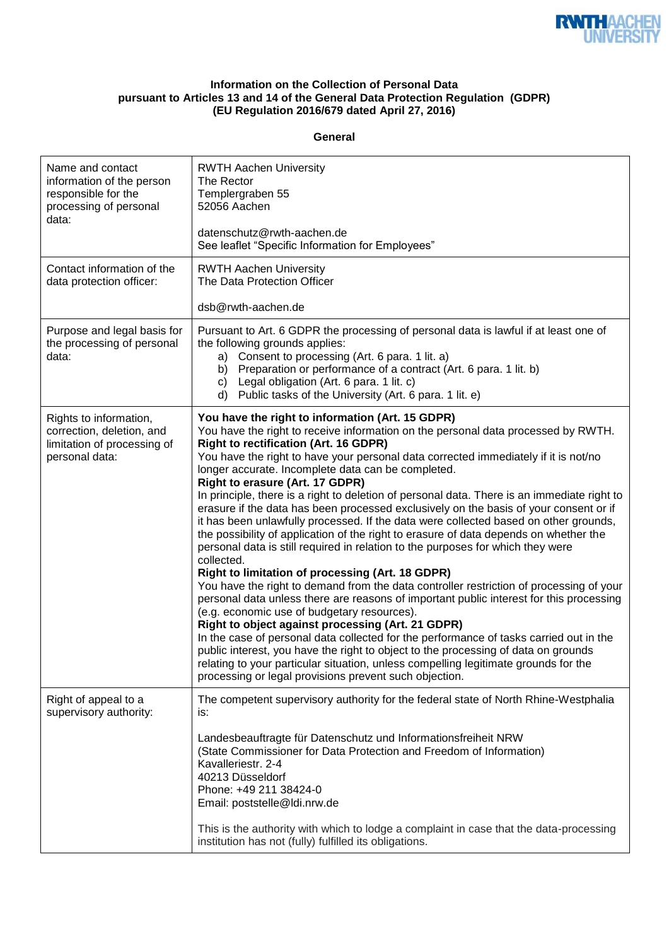

## **Information on the Collection of Personal Data pursuant to Articles 13 and 14 of the General Data Protection Regulation (GDPR) (EU Regulation 2016/679 dated April 27, 2016)**

## **General**

| Name and contact<br>information of the person<br>responsible for the<br>processing of personal<br>data: | <b>RWTH Aachen University</b><br>The Rector<br>Templergraben 55<br>52056 Aachen<br>datenschutz@rwth-aachen.de<br>See leaflet "Specific Information for Employees"                                                                                                                                                                                                                                                                                                                                                                                                                                                                                                                                                                                                                                                                                                                                                                                                                                                                                                                                                                                                                                                                                                                                                                                                                                                                                                                                                              |
|---------------------------------------------------------------------------------------------------------|--------------------------------------------------------------------------------------------------------------------------------------------------------------------------------------------------------------------------------------------------------------------------------------------------------------------------------------------------------------------------------------------------------------------------------------------------------------------------------------------------------------------------------------------------------------------------------------------------------------------------------------------------------------------------------------------------------------------------------------------------------------------------------------------------------------------------------------------------------------------------------------------------------------------------------------------------------------------------------------------------------------------------------------------------------------------------------------------------------------------------------------------------------------------------------------------------------------------------------------------------------------------------------------------------------------------------------------------------------------------------------------------------------------------------------------------------------------------------------------------------------------------------------|
| Contact information of the<br>data protection officer:                                                  | <b>RWTH Aachen University</b><br>The Data Protection Officer                                                                                                                                                                                                                                                                                                                                                                                                                                                                                                                                                                                                                                                                                                                                                                                                                                                                                                                                                                                                                                                                                                                                                                                                                                                                                                                                                                                                                                                                   |
|                                                                                                         | dsb@rwth-aachen.de                                                                                                                                                                                                                                                                                                                                                                                                                                                                                                                                                                                                                                                                                                                                                                                                                                                                                                                                                                                                                                                                                                                                                                                                                                                                                                                                                                                                                                                                                                             |
| Purpose and legal basis for<br>the processing of personal<br>data:                                      | Pursuant to Art. 6 GDPR the processing of personal data is lawful if at least one of<br>the following grounds applies:<br>Consent to processing (Art. 6 para. 1 lit. a)<br>a)<br>b) Preparation or performance of a contract (Art. 6 para. 1 lit. b)<br>c) Legal obligation (Art. 6 para. 1 lit. c)<br>d) Public tasks of the University (Art. 6 para. 1 lit. e)                                                                                                                                                                                                                                                                                                                                                                                                                                                                                                                                                                                                                                                                                                                                                                                                                                                                                                                                                                                                                                                                                                                                                               |
| Rights to information,<br>correction, deletion, and<br>limitation of processing of<br>personal data:    | You have the right to information (Art. 15 GDPR)<br>You have the right to receive information on the personal data processed by RWTH.<br><b>Right to rectification (Art. 16 GDPR)</b><br>You have the right to have your personal data corrected immediately if it is not/no<br>longer accurate. Incomplete data can be completed.<br>Right to erasure (Art. 17 GDPR)<br>In principle, there is a right to deletion of personal data. There is an immediate right to<br>erasure if the data has been processed exclusively on the basis of your consent or if<br>it has been unlawfully processed. If the data were collected based on other grounds,<br>the possibility of application of the right to erasure of data depends on whether the<br>personal data is still required in relation to the purposes for which they were<br>collected.<br>Right to limitation of processing (Art. 18 GDPR)<br>You have the right to demand from the data controller restriction of processing of your<br>personal data unless there are reasons of important public interest for this processing<br>(e.g. economic use of budgetary resources).<br>Right to object against processing (Art. 21 GDPR)<br>In the case of personal data collected for the performance of tasks carried out in the<br>public interest, you have the right to object to the processing of data on grounds<br>relating to your particular situation, unless compelling legitimate grounds for the<br>processing or legal provisions prevent such objection. |
| Right of appeal to a<br>supervisory authority:                                                          | The competent supervisory authority for the federal state of North Rhine-Westphalia<br>is:<br>Landesbeauftragte für Datenschutz und Informationsfreiheit NRW<br>(State Commissioner for Data Protection and Freedom of Information)<br>Kavalleriestr. 2-4<br>40213 Düsseldorf<br>Phone: +49 211 38424-0<br>Email: poststelle@ldi.nrw.de<br>This is the authority with which to lodge a complaint in case that the data-processing<br>institution has not (fully) fulfilled its obligations.                                                                                                                                                                                                                                                                                                                                                                                                                                                                                                                                                                                                                                                                                                                                                                                                                                                                                                                                                                                                                                    |